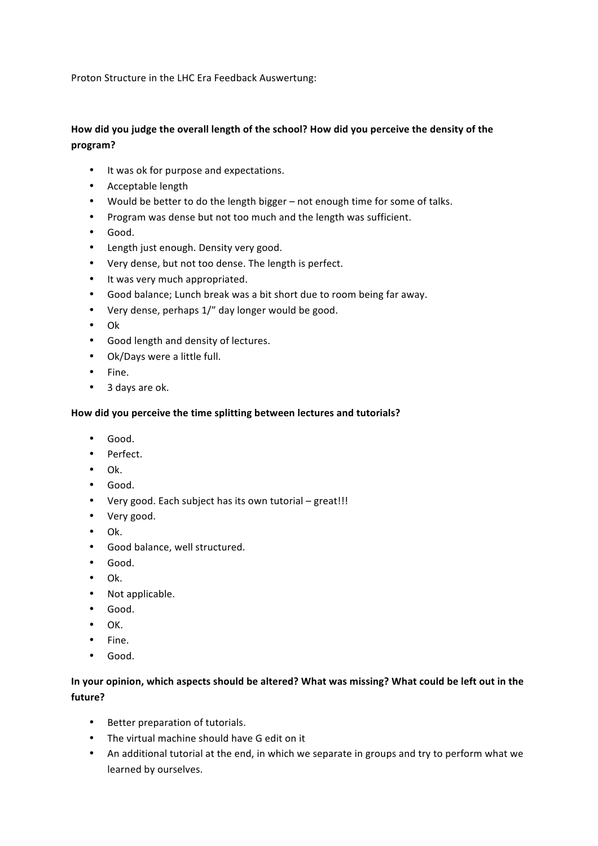Proton Structure in the LHC Era Feedback Auswertung:

# How did you judge the overall length of the school? How did you perceive the density of the **program?**

- It was ok for purpose and expectations.
- Acceptable length
- Would be better to do the length bigger not enough time for some of talks.
- Program was dense but not too much and the length was sufficient.
- Good.
- Length just enough. Density very good.
- Very dense, but not too dense. The length is perfect.
- It was very much appropriated.
- Good balance; Lunch break was a bit short due to room being far away.
- Very dense, perhaps 1/" day longer would be good.
- Ok
- Good length and density of lectures.
- Ok/Days were a little full.
- Fine.
- 3 days are ok.

# How did you perceive the time splitting between lectures and tutorials?

- Good.
- Perfect.
- Ok.
- Good.
- Very good. Each subject has its own tutorial  $-$  great!!!
- Very good.
- Ok.
- Good balance, well structured.
- Good.
- Ok.
- Not applicable.
- Good.
- OK.
- Fine.
- Good.

# In your opinion, which aspects should be altered? What was missing? What could be left out in the **future?**

- Better preparation of tutorials.
- The virtual machine should have G edit on it
- An additional tutorial at the end, in which we separate in groups and try to perform what we learned by ourselves.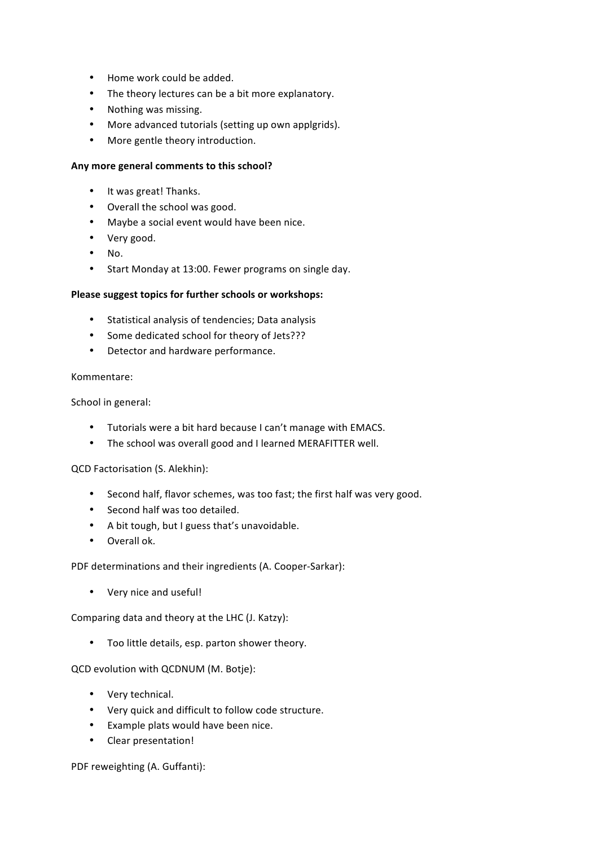- Home work could be added.
- The theory lectures can be a bit more explanatory.
- Nothing was missing.
- More advanced tutorials (setting up own applgrids).
- More gentle theory introduction.

#### Any more general comments to this school?

- It was great! Thanks.
- Overall the school was good.
- Maybe a social event would have been nice.
- Very good.
- No.
- Start Monday at 13:00. Fewer programs on single day.

# Please suggest topics for further schools or workshops:

- Statistical analysis of tendencies; Data analysis
- Some dedicated school for theory of Jets???
- Detector and hardware performance.

#### Kommentare:

School in general:

- Tutorials were a bit hard because I can't manage with EMACS.
- The school was overall good and I learned MERAFITTER well.

# QCD Factorisation (S. Alekhin):

- Second half, flavor schemes, was too fast; the first half was very good.
- Second half was too detailed.
- A bit tough, but I guess that's unavoidable.
- Overall ok.

PDF determinations and their ingredients (A. Cooper-Sarkar):

• Very nice and useful!

Comparing data and theory at the LHC (J. Katzy):

• Too little details, esp. parton shower theory.

QCD evolution with QCDNUM (M. Botje):

- Very technical.
- Very quick and difficult to follow code structure.
- Example plats would have been nice.
- Clear presentation!

PDF reweighting (A. Guffanti):